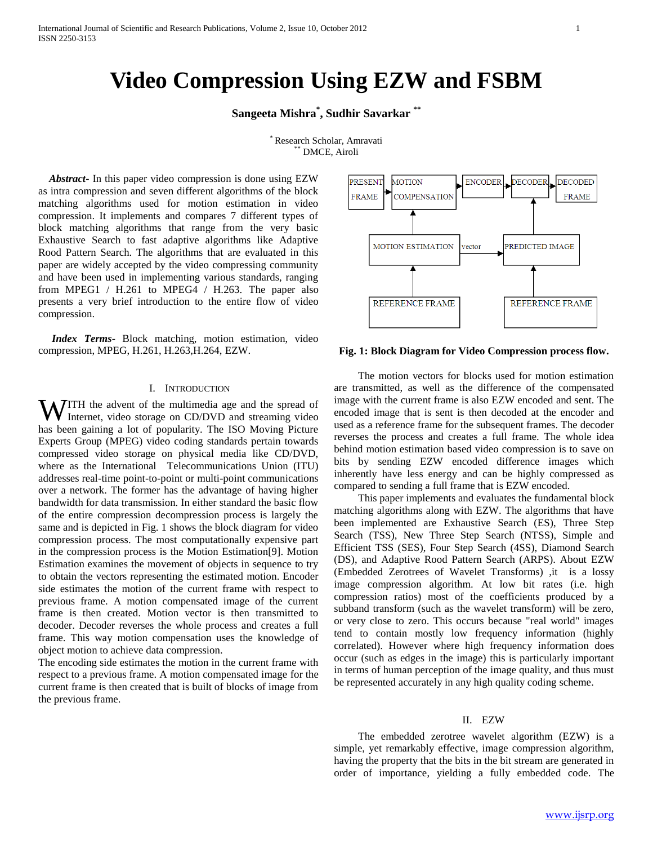# **Video Compression Using EZW and FSBM**

**Sangeeta Mishra \* , Sudhir Savarkar \*\***

\* Research Scholar, Amravati  $*$  DMCE, Airoli

 *Abstract***-** In this paper video compression is done using EZW as intra compression and seven different algorithms of the block matching algorithms used for motion estimation in video compression. It implements and compares 7 different types of block matching algorithms that range from the very basic Exhaustive Search to fast adaptive algorithms like Adaptive Rood Pattern Search. The algorithms that are evaluated in this paper are widely accepted by the video compressing community and have been used in implementing various standards, ranging from MPEG1 / H.261 to MPEG4 / H.263. The paper also presents a very brief introduction to the entire flow of video compression.

 *Index Terms*- Block matching, motion estimation, video compression, MPEG, H.261, H.263,H.264, EZW.

#### I. INTRODUCTION

**WITH** the advent of the multimedia age and the spread of Internet, video storage on CD/DVD and streaming video Internet, video storage on CD/DVD and streaming video has been gaining a lot of popularity. The ISO Moving Picture Experts Group (MPEG) video coding standards pertain towards compressed video storage on physical media like CD/DVD, where as the International Telecommunications Union (ITU) addresses real-time point-to-point or multi-point communications over a network. The former has the advantage of having higher bandwidth for data transmission. In either standard the basic flow of the entire compression decompression process is largely the same and is depicted in Fig. 1 shows the block diagram for video compression process. The most computationally expensive part in the compression process is the Motion Estimation[9]. Motion Estimation examines the movement of objects in sequence to try to obtain the vectors representing the estimated motion. Encoder side estimates the motion of the current frame with respect to previous frame. A motion compensated image of the current frame is then created. Motion vector is then transmitted to decoder. Decoder reverses the whole process and creates a full frame. This way motion compensation uses the knowledge of object motion to achieve data compression.

The encoding side estimates the motion in the current frame with respect to a previous frame. A motion compensated image for the current frame is then created that is built of blocks of image from the previous frame.



**Fig. 1: Block Diagram for Video Compression process flow.**

 The motion vectors for blocks used for motion estimation are transmitted, as well as the difference of the compensated image with the current frame is also EZW encoded and sent. The encoded image that is sent is then decoded at the encoder and used as a reference frame for the subsequent frames. The decoder reverses the process and creates a full frame. The whole idea behind motion estimation based video compression is to save on bits by sending EZW encoded difference images which inherently have less energy and can be highly compressed as compared to sending a full frame that is EZW encoded.

 This paper implements and evaluates the fundamental block matching algorithms along with EZW. The algorithms that have been implemented are Exhaustive Search (ES), Three Step Search (TSS), New Three Step Search (NTSS), Simple and Efficient TSS (SES), Four Step Search (4SS), Diamond Search (DS), and Adaptive Rood Pattern Search (ARPS). About EZW (Embedded Zerotrees of Wavelet Transforms) ,it is a lossy image compression algorithm. At low bit rates (i.e. high compression ratios) most of the coefficients produced by a subband transform (such as the wavelet transform) will be zero, or very close to zero. This occurs because "real world" images tend to contain mostly low frequency information (highly correlated). However where high frequency information does occur (such as edges in the image) this is particularly important in terms of human perception of the image quality, and thus must be represented accurately in any high quality coding scheme.

## II. EZW

 The embedded zerotree wavelet algorithm (EZW) is a simple, yet remarkably effective, image compression algorithm, having the property that the bits in the bit stream are generated in order of importance, yielding a fully embedded code. The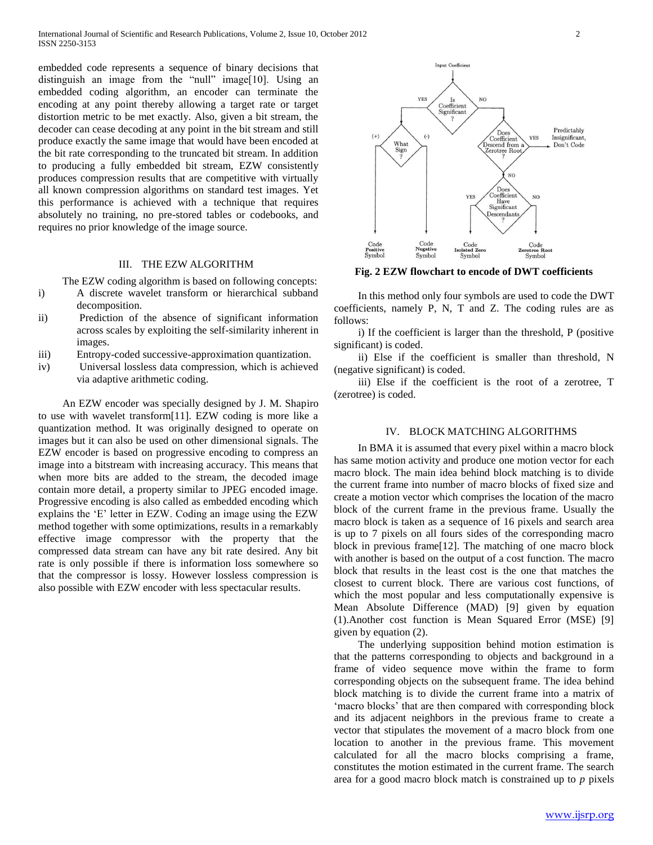embedded code represents a sequence of binary decisions that distinguish an image from the "null" image[10]. Using an embedded coding algorithm, an encoder can terminate the encoding at any point thereby allowing a target rate or target distortion metric to be met exactly. Also, given a bit stream, the decoder can cease decoding at any point in the bit stream and still produce exactly the same image that would have been encoded at the bit rate corresponding to the truncated bit stream. In addition to producing a fully embedded bit stream, EZW consistently produces compression results that are competitive with virtually all known compression algorithms on standard test images. Yet this performance is achieved with a technique that requires absolutely no training, no pre-stored tables or codebooks, and requires no prior knowledge of the image source.

## III. THE EZW ALGORITHM

The EZW coding algorithm is based on following concepts:

- i) A discrete wavelet transform or hierarchical subband decomposition.
- ii) Prediction of the absence of significant information across scales by exploiting the self-similarity inherent in images.
- iii) Entropy-coded successive-approximation quantization.
- iv) Universal lossless data compression, which is achieved via adaptive arithmetic coding.

 An EZW encoder was specially designed by J. M. Shapiro to use with wavelet transform[11]. EZW coding is more like a quantization method. It was originally designed to operate on images but it can also be used on other dimensional signals. The EZW encoder is based on progressive encoding to compress an image into a bitstream with increasing accuracy. This means that when more bits are added to the stream, the decoded image contain more detail, a property similar to JPEG encoded image. Progressive encoding is also called as embedded encoding which explains the "E" letter in EZW. Coding an image using the EZW method together with some optimizations, results in a remarkably effective image compressor with the property that the compressed data stream can have any bit rate desired. Any bit rate is only possible if there is information loss somewhere so that the compressor is lossy. However lossless compression is also possible with EZW encoder with less spectacular results.



**Fig. 2 EZW flowchart to encode of DWT coefficients**

 In this method only four symbols are used to code the DWT coefficients, namely P, N, T and Z. The coding rules are as follows:

 i) If the coefficient is larger than the threshold, P (positive significant) is coded.

 ii) Else if the coefficient is smaller than threshold, N (negative significant) is coded.

 iii) Else if the coefficient is the root of a zerotree, T (zerotree) is coded.

#### IV. BLOCK MATCHING ALGORITHMS

 In BMA it is assumed that every pixel within a macro block has same motion activity and produce one motion vector for each macro block. The main idea behind block matching is to divide the current frame into number of macro blocks of fixed size and create a motion vector which comprises the location of the macro block of the current frame in the previous frame. Usually the macro block is taken as a sequence of 16 pixels and search area is up to 7 pixels on all fours sides of the corresponding macro block in previous frame[12]. The matching of one macro block with another is based on the output of a cost function. The macro block that results in the least cost is the one that matches the closest to current block. There are various cost functions, of which the most popular and less computationally expensive is Mean Absolute Difference (MAD) [9] given by equation (1).Another cost function is Mean Squared Error (MSE) [9] given by equation (2).

 The underlying supposition behind motion estimation is that the patterns corresponding to objects and background in a frame of video sequence move within the frame to form corresponding objects on the subsequent frame. The idea behind block matching is to divide the current frame into a matrix of 'macro blocks' that are then compared with corresponding block and its adjacent neighbors in the previous frame to create a vector that stipulates the movement of a macro block from one location to another in the previous frame. This movement calculated for all the macro blocks comprising a frame, constitutes the motion estimated in the current frame. The search area for a good macro block match is constrained up to *p* pixels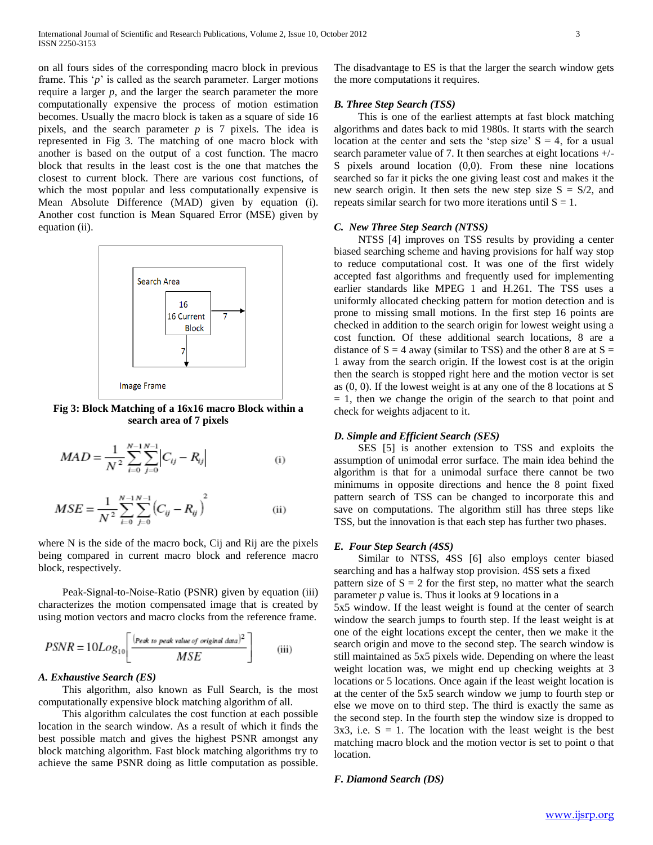on all fours sides of the corresponding macro block in previous frame. This 'p' is called as the search parameter. Larger motions require a larger *p*, and the larger the search parameter the more computationally expensive the process of motion estimation becomes. Usually the macro block is taken as a square of side 16 pixels, and the search parameter *p* is 7 pixels. The idea is represented in Fig 3. The matching of one macro block with another is based on the output of a cost function. The macro block that results in the least cost is the one that matches the closest to current block. There are various cost functions, of which the most popular and less computationally expensive is Mean Absolute Difference (MAD) given by equation (i). Another cost function is Mean Squared Error (MSE) given by equation (ii).



**Fig 3: Block Matching of a 16x16 macro Block within a search area of 7 pixels**

$$
MAD = \frac{1}{N^2} \sum_{i=0}^{N-1} \sum_{j=0}^{N-1} \left| C_{ij} - R_{ij} \right|
$$
 (i)

$$
MSE = \frac{1}{N^2} \sum_{i=0}^{N-1} \sum_{j=0}^{N-1} (C_{ij} - R_{ij})^2
$$
 (ii)

where N is the side of the macro bock, Cij and Rij are the pixels being compared in current macro block and reference macro block, respectively.

 Peak-Signal-to-Noise-Ratio (PSNR) given by equation (iii) characterizes the motion compensated image that is created by using motion vectors and macro clocks from the reference frame.

$$
PSNR = 10Log_{10}\left[\frac{(p_{eak\ to\ peak\ value\ of\ original\ data})^2}{MSE}\right]
$$
 (iii)

#### *A. Exhaustive Search (ES)*

 This algorithm, also known as Full Search, is the most computationally expensive block matching algorithm of all.

 This algorithm calculates the cost function at each possible location in the search window. As a result of which it finds the best possible match and gives the highest PSNR amongst any block matching algorithm. Fast block matching algorithms try to achieve the same PSNR doing as little computation as possible.

The disadvantage to ES is that the larger the search window gets the more computations it requires.

# *B. Three Step Search (TSS)*

 This is one of the earliest attempts at fast block matching algorithms and dates back to mid 1980s. It starts with the search location at the center and sets the 'step size'  $S = 4$ , for a usual search parameter value of 7. It then searches at eight locations +/- S pixels around location (0,0). From these nine locations searched so far it picks the one giving least cost and makes it the new search origin. It then sets the new step size  $S = S/2$ , and repeats similar search for two more iterations until  $S = 1$ .

#### *C. New Three Step Search (NTSS)*

 NTSS [4] improves on TSS results by providing a center biased searching scheme and having provisions for half way stop to reduce computational cost. It was one of the first widely accepted fast algorithms and frequently used for implementing earlier standards like MPEG 1 and H.261. The TSS uses a uniformly allocated checking pattern for motion detection and is prone to missing small motions. In the first step 16 points are checked in addition to the search origin for lowest weight using a cost function. Of these additional search locations, 8 are a distance of  $S = 4$  away (similar to TSS) and the other 8 are at  $S =$ 1 away from the search origin. If the lowest cost is at the origin then the search is stopped right here and the motion vector is set as (0, 0). If the lowest weight is at any one of the 8 locations at S  $= 1$ , then we change the origin of the search to that point and check for weights adjacent to it.

#### *D. Simple and Efficient Search (SES)*

 SES [5] is another extension to TSS and exploits the assumption of unimodal error surface. The main idea behind the algorithm is that for a unimodal surface there cannot be two minimums in opposite directions and hence the 8 point fixed pattern search of TSS can be changed to incorporate this and save on computations. The algorithm still has three steps like TSS, but the innovation is that each step has further two phases.

#### *E. Four Step Search (4SS)*

 Similar to NTSS, 4SS [6] also employs center biased searching and has a halfway stop provision. 4SS sets a fixed pattern size of  $S = 2$  for the first step, no matter what the search parameter *p* value is. Thus it looks at 9 locations in a

5x5 window. If the least weight is found at the center of search window the search jumps to fourth step. If the least weight is at one of the eight locations except the center, then we make it the search origin and move to the second step. The search window is still maintained as 5x5 pixels wide. Depending on where the least weight location was, we might end up checking weights at 3 locations or 5 locations. Once again if the least weight location is at the center of the 5x5 search window we jump to fourth step or else we move on to third step. The third is exactly the same as the second step. In the fourth step the window size is dropped to  $3x3$ , i.e.  $S = 1$ . The location with the least weight is the best matching macro block and the motion vector is set to point o that location.

#### *F. Diamond Search (DS)*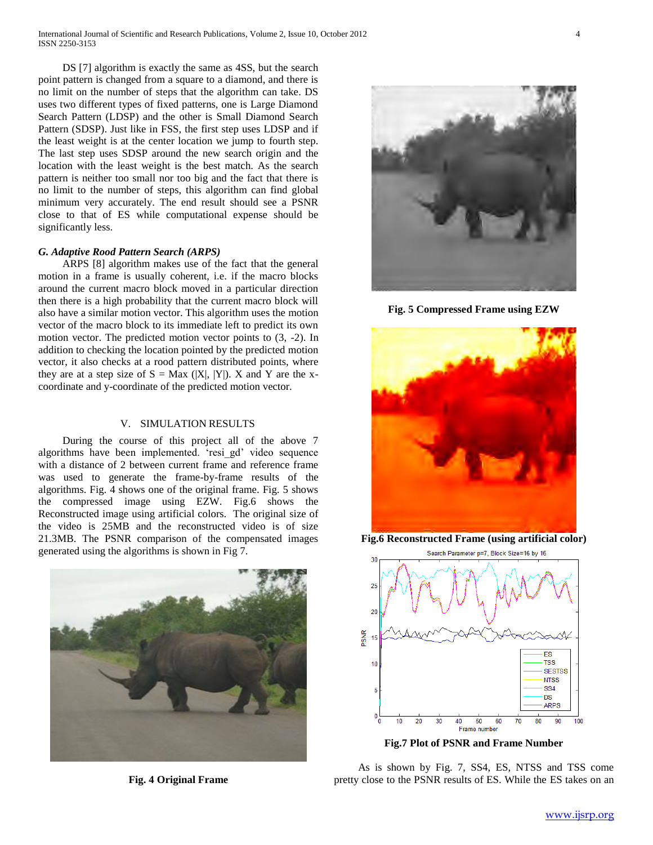DS [7] algorithm is exactly the same as 4SS, but the search point pattern is changed from a square to a diamond, and there is no limit on the number of steps that the algorithm can take. DS uses two different types of fixed patterns, one is Large Diamond Search Pattern (LDSP) and the other is Small Diamond Search Pattern (SDSP). Just like in FSS, the first step uses LDSP and if the least weight is at the center location we jump to fourth step. The last step uses SDSP around the new search origin and the location with the least weight is the best match. As the search pattern is neither too small nor too big and the fact that there is no limit to the number of steps, this algorithm can find global minimum very accurately. The end result should see a PSNR close to that of ES while computational expense should be significantly less.

## *G. Adaptive Rood Pattern Search (ARPS)*

 ARPS [8] algorithm makes use of the fact that the general motion in a frame is usually coherent, i.e. if the macro blocks around the current macro block moved in a particular direction then there is a high probability that the current macro block will also have a similar motion vector. This algorithm uses the motion vector of the macro block to its immediate left to predict its own motion vector. The predicted motion vector points to (3, -2). In addition to checking the location pointed by the predicted motion vector, it also checks at a rood pattern distributed points, where they are at a step size of  $S = Max (|X|, |Y|)$ . X and Y are the xcoordinate and y-coordinate of the predicted motion vector.

# V. SIMULATION RESULTS

 During the course of this project all of the above 7 algorithms have been implemented. "resi\_gd" video sequence with a distance of 2 between current frame and reference frame was used to generate the frame-by-frame results of the algorithms. Fig. 4 shows one of the original frame. Fig. 5 shows the compressed image using EZW. Fig.6 shows the Reconstructed image using artificial colors. The original size of the video is 25MB and the reconstructed video is of size 21.3MB. The PSNR comparison of the compensated images generated using the algorithms is shown in Fig 7.



**Fig. 4 Original Frame**



**Fig. 5 Compressed Frame using EZW**



**Fig.6 Reconstructed Frame (using artificial color)**



**Fig.7 Plot of PSNR and Frame Number**

 As is shown by Fig. 7, SS4, ES, NTSS and TSS come pretty close to the PSNR results of ES. While the ES takes on an